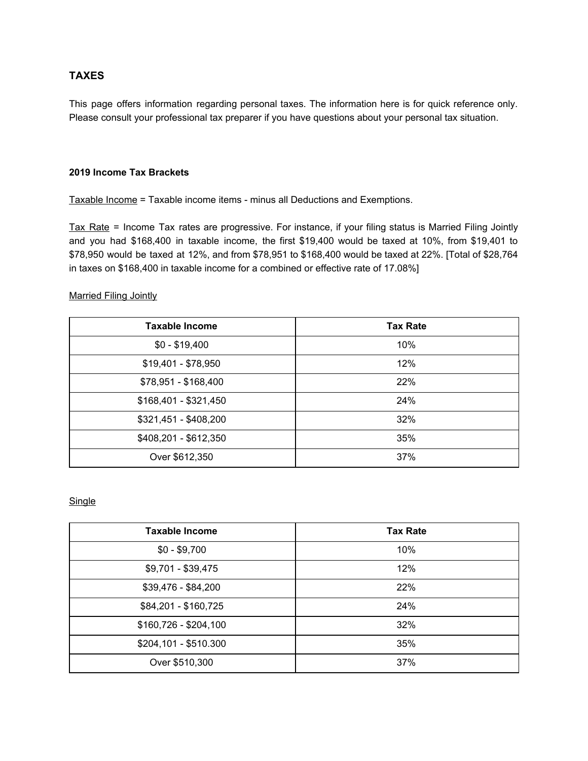## **TAXES**

This page offers information regarding personal taxes. The information here is for quick reference only. Please consult your professional tax preparer if you have questions about your personal tax situation.

#### **2019 Income Tax Brackets**

Taxable Income = Taxable income items - minus all Deductions and Exemptions.

Tax Rate = Income Tax rates are progressive. For instance, if your filing status is Married Filing Jointly and you had \$168,400 in taxable income, the first \$19,400 would be taxed at 10%, from \$19,401 to \$78,950 would be taxed at 12%, and from \$78,951 to \$168,400 would be taxed at 22%. [Total of \$28,764 in taxes on \$168,400 in taxable income for a combined or effective rate of 17.08%]

#### Married Filing Jointly

| <b>Taxable Income</b> | <b>Tax Rate</b> |
|-----------------------|-----------------|
| $$0 - $19,400$        | 10%             |
| $$19,401 - $78,950$   | 12%             |
| \$78,951 - \$168,400  | 22%             |
| $$168,401 - $321,450$ | 24%             |
| \$321,451 - \$408,200 | 32%             |
| \$408,201 - \$612,350 | 35%             |
| Over \$612,350        | 37%             |

### **Single**

| <b>Taxable Income</b> | <b>Tax Rate</b> |
|-----------------------|-----------------|
| $$0 - $9,700$         | 10%             |
| \$9,701 - \$39,475    | 12%             |
| \$39,476 - \$84,200   | 22%             |
| \$84,201 - \$160,725  | 24%             |
| $$160,726 - $204,100$ | 32%             |
| \$204,101 - \$510.300 | 35%             |
| Over \$510,300        | 37%             |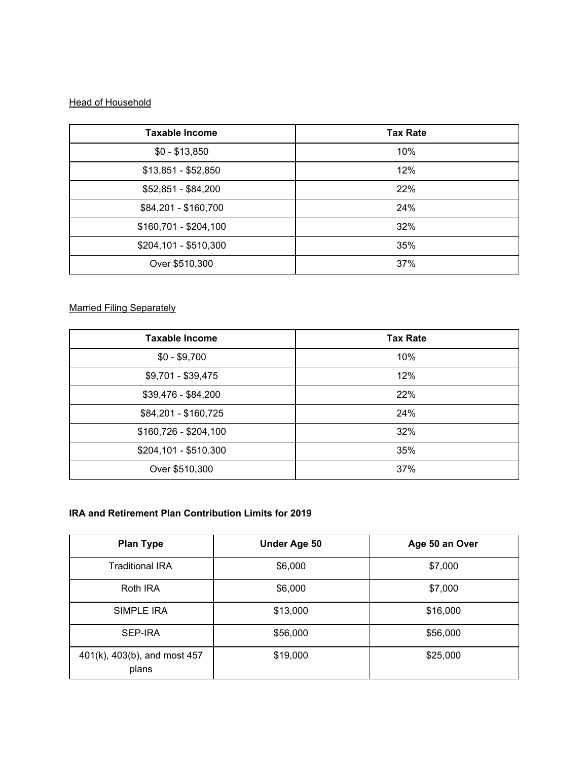# **Head of Household**

| <b>Taxable Income</b> | <b>Tax Rate</b> |
|-----------------------|-----------------|
| $$0 - $13,850$        | 10%             |
| $$13,851 - $52,850$   | 12%             |
| $$52,851 - $84,200$   | 22%             |
| \$84,201 - \$160,700  | 24%             |
| \$160,701 - \$204,100 | 32%             |
| \$204,101 - \$510,300 | 35%             |
| Over \$510,300        | 37%             |

# Married Filing Separately

| <b>Taxable Income</b> | <b>Tax Rate</b> |
|-----------------------|-----------------|
| $$0 - $9,700$         | 10%             |
| \$9,701 - \$39,475    | 12%             |
| $$39,476 - $84,200$   | 22%             |
| \$84,201 - \$160,725  | 24%             |
| \$160,726 - \$204,100 | 32%             |
| \$204,101 - \$510.300 | 35%             |
| Over \$510,300        | 37%             |

## **IRA and Retirement Plan Contribution Limits for 2019**

| <b>Plan Type</b>                      | Under Age 50 | Age 50 an Over |
|---------------------------------------|--------------|----------------|
| <b>Traditional IRA</b>                | \$6,000      | \$7,000        |
| Roth IRA                              | \$6,000      | \$7,000        |
| SIMPLE IRA                            | \$13,000     | \$16,000       |
| SEP-IRA                               | \$56,000     | \$56,000       |
| 401(k), 403(b), and most 457<br>plans | \$19,000     | \$25,000       |